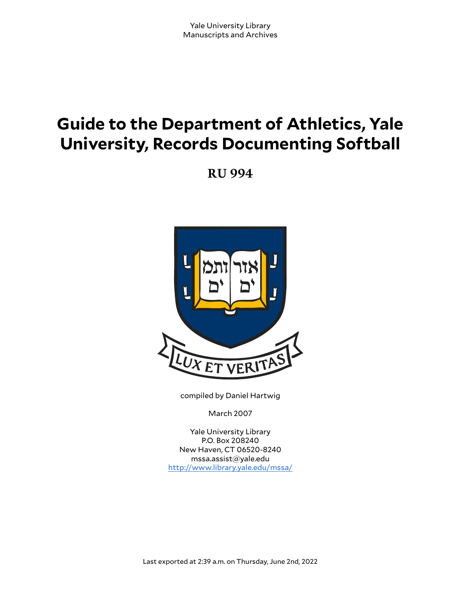# **Guide to the Department of Athletics, Yale University, Records Documenting Softball**

**RU 994**



compiled by Daniel Hartwig

March 2007

Yale University Library P.O. Box 208240 New Haven, CT 06520-8240 mssa.assist@yale.edu <http://www.library.yale.edu/mssa/>

Last exported at 2:39 a.m. on Thursday, June 2nd, 2022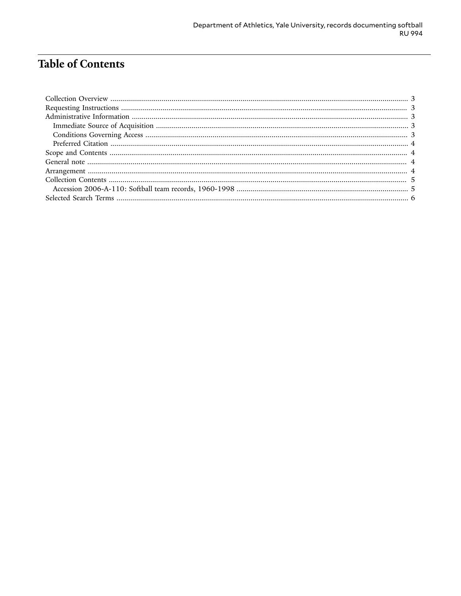# **Table of Contents**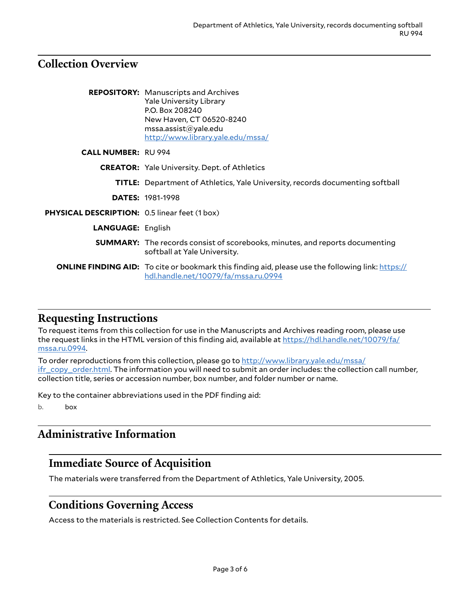## <span id="page-2-0"></span>**Collection Overview**

|                                                                                                                                                  | <b>REPOSITORY:</b> Manuscripts and Archives<br><b>Yale University Library</b><br>P.O. Box 208240<br>New Haven, CT 06520-8240<br>msa. assist@yale.edu<br>http://www.library.yale.edu/mssa/ |  |
|--------------------------------------------------------------------------------------------------------------------------------------------------|-------------------------------------------------------------------------------------------------------------------------------------------------------------------------------------------|--|
| <b>CALL NUMBER: RU 994</b>                                                                                                                       | <b>CREATOR:</b> Yale University. Dept. of Athletics                                                                                                                                       |  |
|                                                                                                                                                  |                                                                                                                                                                                           |  |
|                                                                                                                                                  | <b>TITLE:</b> Department of Athletics, Yale University, records documenting softball                                                                                                      |  |
|                                                                                                                                                  | <b>DATES: 1981-1998</b>                                                                                                                                                                   |  |
| PHYSICAL DESCRIPTION: 0.5 linear feet (1 box)                                                                                                    |                                                                                                                                                                                           |  |
| <b>LANGUAGE: English</b>                                                                                                                         |                                                                                                                                                                                           |  |
|                                                                                                                                                  | <b>SUMMARY:</b> The records consist of scorebooks, minutes, and reports documenting<br>softball at Yale University.                                                                       |  |
| <b>ONLINE FINDING AID:</b> To cite or bookmark this finding aid, please use the following link: https://<br>hdl.handle.net/10079/fa/mssa.ru.0994 |                                                                                                                                                                                           |  |

## <span id="page-2-1"></span>**Requesting Instructions**

To request items from this collection for use in the Manuscripts and Archives reading room, please use the request links in the HTML version of this finding aid, available at [https://hdl.handle.net/10079/fa/](https://hdl.handle.net/10079/fa/mssa.ru.0994) [mssa.ru.0994](https://hdl.handle.net/10079/fa/mssa.ru.0994).

To order reproductions from this collection, please go to [http://www.library.yale.edu/mssa/](http://www.library.yale.edu/mssa/ifr_copy_order.html) [ifr\\_copy\\_order.html.](http://www.library.yale.edu/mssa/ifr_copy_order.html) The information you will need to submit an order includes: the collection call number, collection title, series or accession number, box number, and folder number or name.

Key to the container abbreviations used in the PDF finding aid:

b. box

## <span id="page-2-2"></span>**Administrative Information**

## <span id="page-2-3"></span>**Immediate Source of Acquisition**

The materials were transferred from the Department of Athletics, Yale University, 2005.

#### <span id="page-2-4"></span>**Conditions Governing Access**

Access to the materials is restricted. See Collection Contents for details.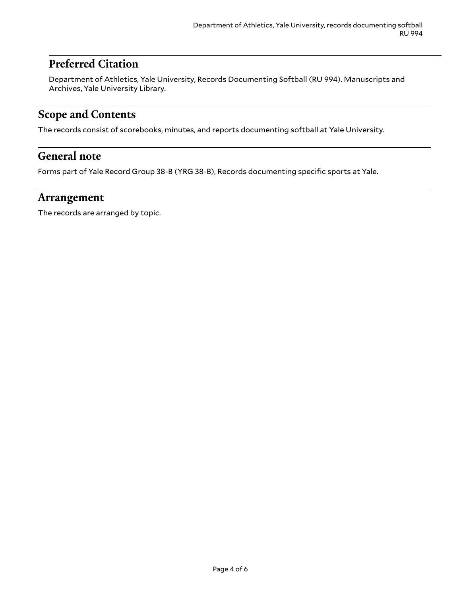## <span id="page-3-0"></span>**Preferred Citation**

Department of Athletics, Yale University, Records Documenting Softball (RU 994). Manuscripts and Archives, Yale University Library.

## <span id="page-3-1"></span>**Scope and Contents**

The records consist of scorebooks, minutes, and reports documenting softball at Yale University.

#### <span id="page-3-2"></span>**General note**

Forms part of Yale Record Group 38-B (YRG 38-B), Records documenting specific sports at Yale.

#### <span id="page-3-3"></span>**Arrangement**

The records are arranged by topic.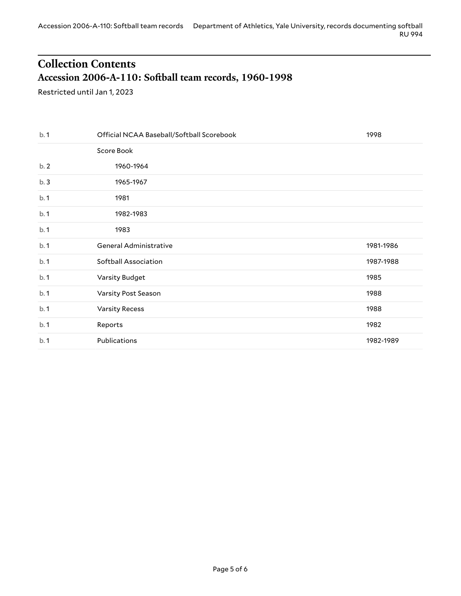# <span id="page-4-0"></span>**Collection Contents Accession 2006-A-110: So(ball team records, 1960-1998**

<span id="page-4-1"></span>Restricted until Jan 1, 2023

| b.1 | Official NCAA Baseball/Softball Scorebook | 1998      |
|-----|-------------------------------------------|-----------|
|     | Score Book                                |           |
| b.2 | 1960-1964                                 |           |
| b.3 | 1965-1967                                 |           |
| b.1 | 1981                                      |           |
| b.1 | 1982-1983                                 |           |
| b.1 | 1983                                      |           |
| b.1 | General Administrative                    | 1981-1986 |
| b.1 | Softball Association                      | 1987-1988 |
| b.1 | Varsity Budget                            | 1985      |
| b.1 | Varsity Post Season                       | 1988      |
| b.1 | <b>Varsity Recess</b>                     | 1988      |
| b.1 | Reports                                   | 1982      |
| b.1 | Publications                              | 1982-1989 |